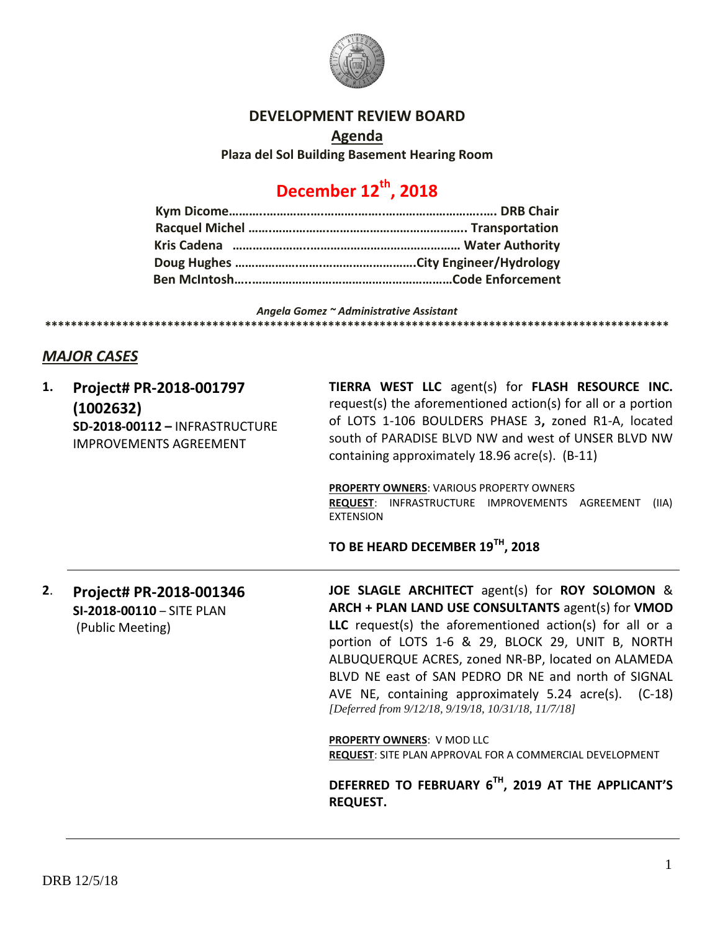

### **DEVELOPMENT REVIEW BOARD**

**Agenda Plaza del Sol Building Basement Hearing Room**

# **December 12th, 2018**

#### *Angela Gomez ~ Administrative Assistant* **\*\*\*\*\*\*\*\*\*\*\*\*\*\*\*\*\*\*\*\*\*\*\*\*\*\*\*\*\*\*\*\*\*\*\*\*\*\*\*\*\*\*\*\*\*\*\*\*\*\*\*\*\*\*\*\*\*\*\*\*\*\*\*\*\*\*\*\*\*\*\*\*\*\*\*\*\*\*\*\*\*\*\*\*\*\*\*\*\*\*\*\*\*\*\*\*\***

## *MAJOR CASES*

| 1. | Project# PR-2018-001797<br>(1002632)<br>SD-2018-00112 - INFRASTRUCTURE<br><b>IMPROVEMENTS AGREEMENT</b> | TIERRA WEST LLC agent(s) for FLASH RESOURCE INC.<br>request(s) the aforementioned action(s) for all or a portion<br>of LOTS 1-106 BOULDERS PHASE 3, zoned R1-A, located<br>south of PARADISE BLVD NW and west of UNSER BLVD NW<br>containing approximately 18.96 acre(s). (B-11)<br><b>PROPERTY OWNERS: VARIOUS PROPERTY OWNERS</b><br>REQUEST: INFRASTRUCTURE IMPROVEMENTS AGREEMENT<br>(IIA)<br><b>EXTENSION</b>                                  |
|----|---------------------------------------------------------------------------------------------------------|-----------------------------------------------------------------------------------------------------------------------------------------------------------------------------------------------------------------------------------------------------------------------------------------------------------------------------------------------------------------------------------------------------------------------------------------------------|
|    |                                                                                                         | TO BE HEARD DECEMBER 19 <sup>TH</sup> , 2018                                                                                                                                                                                                                                                                                                                                                                                                        |
| 2. | Project# PR-2018-001346<br>SI-2018-00110 - SITE PLAN<br>(Public Meeting)                                | JOE SLAGLE ARCHITECT agent(s) for ROY SOLOMON &<br>ARCH + PLAN LAND USE CONSULTANTS agent(s) for VMOD<br>LLC request(s) the aforementioned action(s) for all or a<br>portion of LOTS 1-6 & 29, BLOCK 29, UNIT B, NORTH<br>ALBUQUERQUE ACRES, zoned NR-BP, located on ALAMEDA<br>BLVD NE east of SAN PEDRO DR NE and north of SIGNAL<br>AVE NE, containing approximately 5.24 acre(s). (C-18)<br>[Deferred from 9/12/18, 9/19/18, 10/31/18, 11/7/18] |
|    |                                                                                                         | PROPERTY OWNERS: V MOD LLC<br>REQUEST: SITE PLAN APPROVAL FOR A COMMERCIAL DEVELOPMENT                                                                                                                                                                                                                                                                                                                                                              |
|    |                                                                                                         | DEFERRED TO FEBRUARY 6TH, 2019 AT THE APPLICANT'S<br><b>REQUEST.</b>                                                                                                                                                                                                                                                                                                                                                                                |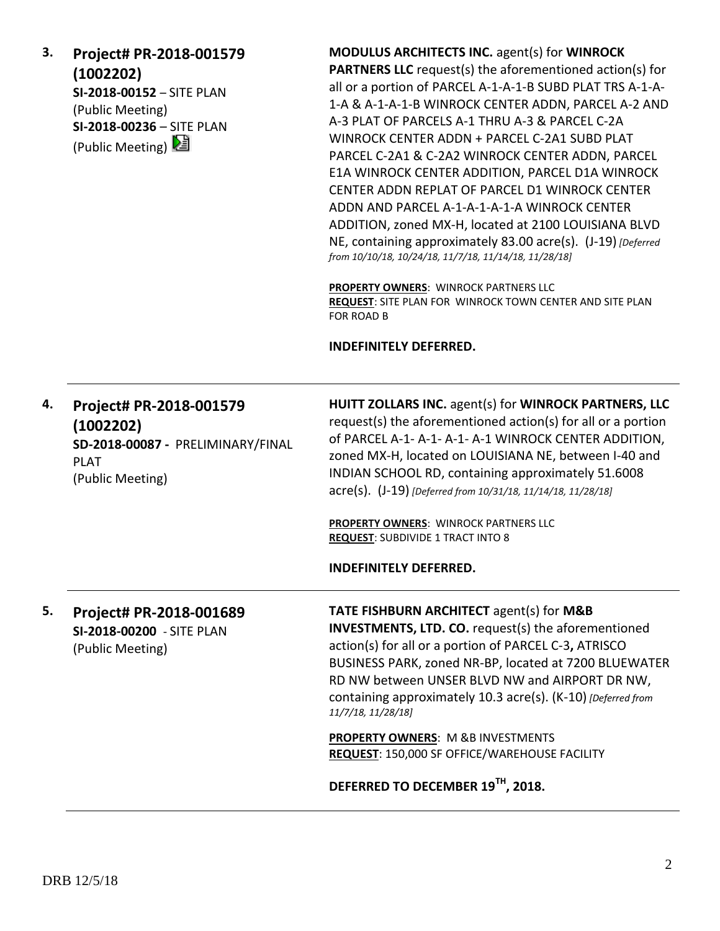**3. Project# PR-2018-001579 (1002202) SI-2018-00152** – SITE PLAN (Public Meeting) **SI-2018-00236** – SITE PLAN

(Public Meeting)

**MODULUS ARCHITECTS INC.** agent(s) for **WINROCK PARTNERS LLC** request(s) the aforementioned action(s) for all or a portion of PARCEL A-1-A-1-B SUBD PLAT TRS A-1-A-1-A & A-1-A-1-B WINROCK CENTER ADDN, PARCEL A-2 AND A-3 PLAT OF PARCELS A-1 THRU A-3 & PARCEL C-2A WINROCK CENTER ADDN + PARCEL C-2A1 SUBD PLAT PARCEL C-2A1 & C-2A2 WINROCK CENTER ADDN, PARCEL E1A WINROCK CENTER ADDITION, PARCEL D1A WINROCK CENTER ADDN REPLAT OF PARCEL D1 WINROCK CENTER ADDN AND PARCEL A-1-A-1-A-1-A WINROCK CENTER ADDITION, zoned MX-H, located at 2100 LOUISIANA BLVD NE, containing approximately 83.00 acre(s). (J-19) *[Deferred from 10/10/18, 10/24/18, 11/7/18, 11/14/18, 11/28/18]*

**PROPERTY OWNERS**: WINROCK PARTNERS LLC **REQUEST**: SITE PLAN FOR WINROCK TOWN CENTER AND SITE PLAN FOR ROAD B

#### **INDEFINITELY DEFERRED.**

| 4. | Project# PR-2018-001579<br>(1002202)<br>SD-2018-00087 - PRELIMINARY/FINAL<br><b>PLAT</b><br>(Public Meeting) | HUITT ZOLLARS INC. agent(s) for WINROCK PARTNERS, LLC<br>request(s) the aforementioned action(s) for all or a portion<br>of PARCEL A-1- A-1- A-1- A-1 WINROCK CENTER ADDITION,<br>zoned MX-H, located on LOUISIANA NE, between I-40 and<br>INDIAN SCHOOL RD, containing approximately 51.6008<br>acre(s). (J-19) [Deferred from 10/31/18, 11/14/18, 11/28/18]<br><b>PROPERTY OWNERS: WINROCK PARTNERS LLC</b><br><b>REQUEST: SUBDIVIDE 1 TRACT INTO 8</b> |
|----|--------------------------------------------------------------------------------------------------------------|-----------------------------------------------------------------------------------------------------------------------------------------------------------------------------------------------------------------------------------------------------------------------------------------------------------------------------------------------------------------------------------------------------------------------------------------------------------|
|    |                                                                                                              | <b>INDEFINITELY DEFERRED.</b>                                                                                                                                                                                                                                                                                                                                                                                                                             |
| 5. | Project# PR-2018-001689<br>SI-2018-00200 - SITE PLAN<br>(Public Meeting)                                     | <b>TATE FISHBURN ARCHITECT agent(s) for M&amp;B</b><br><b>INVESTMENTS, LTD. CO.</b> request(s) the aforementioned<br>action(s) for all or a portion of PARCEL C-3, ATRISCO<br>BUSINESS PARK, zoned NR-BP, located at 7200 BLUEWATER<br>RD NW between UNSER BLVD NW and AIRPORT DR NW,<br>containing approximately 10.3 acre(s). (K-10) [Deferred from<br>11/7/18, 11/28/18]                                                                               |
|    |                                                                                                              | <b>PROPERTY OWNERS: M &amp;B INVESTMENTS</b><br>REQUEST: 150,000 SF OFFICE/WAREHOUSE FACILITY                                                                                                                                                                                                                                                                                                                                                             |
|    |                                                                                                              | DEFERRED TO DECEMBER 19 <sup>TH</sup> , 2018.                                                                                                                                                                                                                                                                                                                                                                                                             |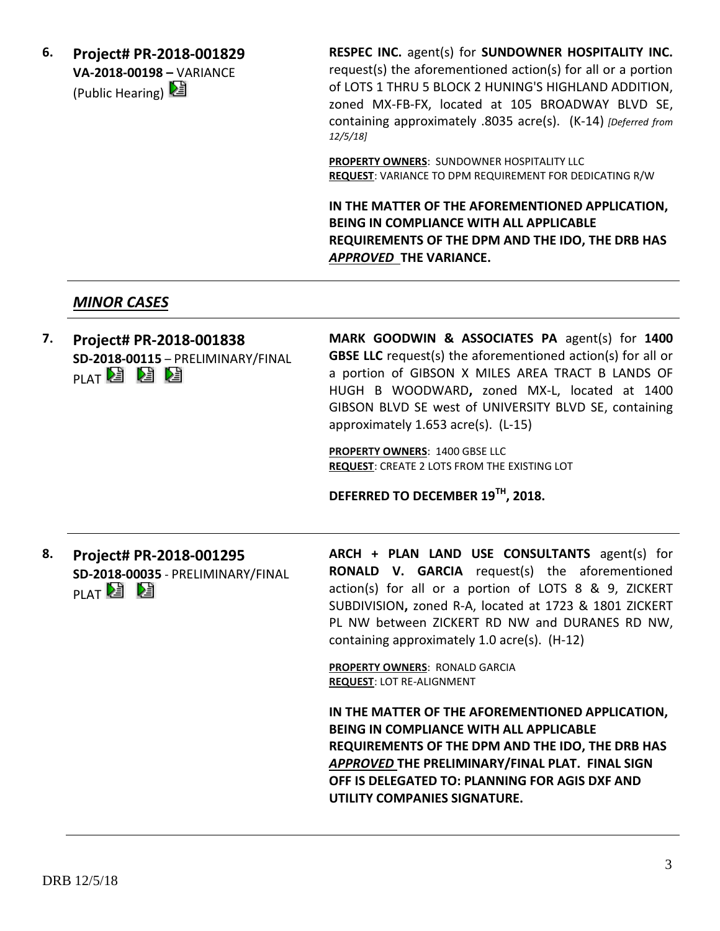**6. Project# PR-2018-001829 VA-2018-00198 –** VARIANCE (Public Hearing)  $\boxed{\mathbf{E}}$ 

**RESPEC INC.** agent(s) for **SUNDOWNER HOSPITALITY INC.** request(s) the aforementioned action(s) for all or a portion of LOTS 1 THRU 5 BLOCK 2 HUNING'S HIGHLAND ADDITION, zoned MX-FB-FX, located at 105 BROADWAY BLVD SE, containing approximately .8035 acre(s). (K-14) *[Deferred from 12/5/18]*

**PROPERTY OWNERS**: SUNDOWNER HOSPITALITY LLC **REQUEST**: VARIANCE TO DPM REQUIREMENT FOR DEDICATING R/W

**IN THE MATTER OF THE AFOREMENTIONED APPLICATION, BEING IN COMPLIANCE WITH ALL APPLICABLE REQUIREMENTS OF THE DPM AND THE IDO, THE DRB HAS**  *APPROVED* **THE VARIANCE.**

## *MINOR CASES*

**7. Project# PR-2018-001838 SD-2018-00115** – PRELIMINARY/FINAL EKIEKITA ID

**MARK GOODWIN & ASSOCIATES PA** agent(s) for **1400 GBSE LLC** request(s) the aforementioned action(s) for all or a portion of GIBSON X MILES AREA TRACT B LANDS OF HUGH B WOODWARD**,** zoned MX-L, located at 1400 GIBSON BLVD SE west of UNIVERSITY BLVD SE, containing approximately 1.653 acre(s). (L-15)

**PROPERTY OWNERS**: 1400 GBSE LLC **REQUEST**: CREATE 2 LOTS FROM THE EXISTING LOT

**DEFERRED TO DECEMBER 19TH, 2018.**

**8. Project# PR-2018-001295 SD-2018-00035** - PRELIMINARY/FINAL **PLAT 2** 

**ARCH + PLAN LAND USE CONSULTANTS** agent(s) for **RONALD V. GARCIA** request(s) the aforementioned action(s) for all or a portion of LOTS 8 & 9, ZICKERT SUBDIVISION**,** zoned R-A, located at 1723 & 1801 ZICKERT PL NW between ZICKERT RD NW and DURANES RD NW, containing approximately 1.0 acre(s). (H-12)

**PROPERTY OWNERS**: RONALD GARCIA **REQUEST**: LOT RE-ALIGNMENT

**IN THE MATTER OF THE AFOREMENTIONED APPLICATION, BEING IN COMPLIANCE WITH ALL APPLICABLE REQUIREMENTS OF THE DPM AND THE IDO, THE DRB HAS**  *APPROVED* **THE PRELIMINARY/FINAL PLAT. FINAL SIGN OFF IS DELEGATED TO: PLANNING FOR AGIS DXF AND UTILITY COMPANIES SIGNATURE.**